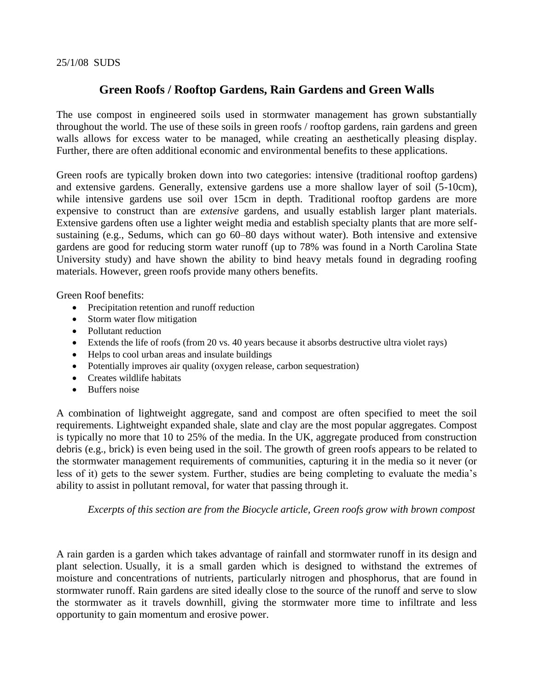## **Green Roofs / Rooftop Gardens, Rain Gardens and Green Walls**

The use compost in engineered soils used in stormwater management has grown substantially throughout the world. The use of these soils in green roofs / rooftop gardens, rain gardens and green walls allows for excess water to be managed, while creating an aesthetically pleasing display. Further, there are often additional economic and environmental benefits to these applications.

Green roofs are typically broken down into two categories: intensive (traditional rooftop gardens) and extensive gardens. Generally, extensive gardens use a more shallow layer of soil (5-10cm), while intensive gardens use soil over 15cm in depth. Traditional rooftop gardens are more expensive to construct than are *extensive* gardens, and usually establish larger plant materials. Extensive gardens often use a lighter weight media and establish specialty plants that are more selfsustaining (e.g., Sedums, which can go 60–80 days without water). Both intensive and extensive gardens are good for reducing storm water runoff (up to 78% was found in a North Carolina State University study) and have shown the ability to bind heavy metals found in degrading roofing materials. However, green roofs provide many others benefits.

Green Roof benefits:

- Precipitation retention and runoff reduction
- Storm water flow mitigation
- Pollutant reduction
- Extends the life of roofs (from 20 vs. 40 years because it absorbs destructive ultra violet rays)
- Helps to cool urban areas and insulate buildings
- Potentially improves air quality (oxygen release, carbon sequestration)
- Creates wildlife habitats
- Buffers noise

A combination of lightweight aggregate, sand and compost are often specified to meet the soil requirements. Lightweight expanded shale, slate and clay are the most popular aggregates. Compost is typically no more that 10 to 25% of the media. In the UK, aggregate produced from construction debris (e.g., brick) is even being used in the soil. The growth of green roofs appears to be related to the stormwater management requirements of communities, capturing it in the media so it never (or less of it) gets to the sewer system. Further, studies are being completing to evaluate the media's ability to assist in pollutant removal, for water that passing through it.

*Excerpts of this section are from the Biocycle article, Green roofs grow with brown compost* 

A rain garden is a garden which takes advantage of rainfall and stormwater runoff in its design and plant selection. Usually, it is a small garden which is designed to withstand the extremes of moisture and concentrations of nutrients, particularly nitrogen and phosphorus, that are found in stormwater runoff. Rain gardens are sited ideally close to the source of the runoff and serve to slow the stormwater as it travels downhill, giving the stormwater more time to infiltrate and less opportunity to gain momentum and erosive power.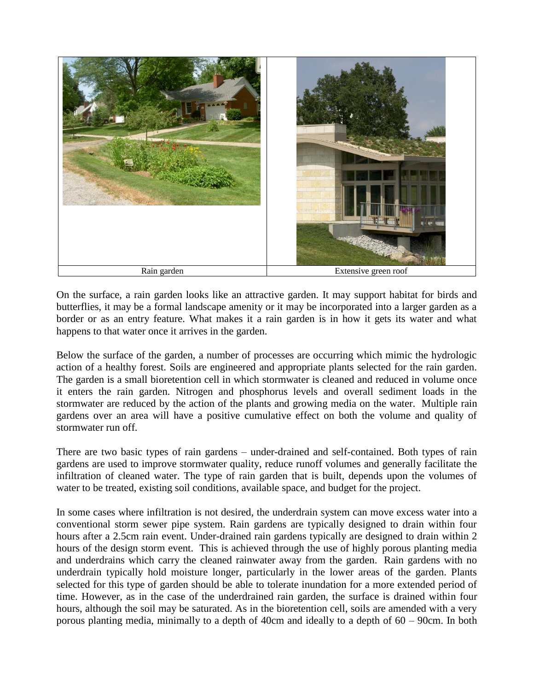

On the surface, a rain garden looks like an attractive garden. It may support habitat for birds and butterflies, it may be a formal landscape amenity or it may be incorporated into a larger garden as a border or as an entry feature. What makes it a rain garden is in how it gets its water and what happens to that water once it arrives in the garden.

Below the surface of the garden, a number of processes are occurring which mimic the hydrologic action of a healthy forest. Soils are engineered and appropriate plants selected for the rain garden. The garden is a small bioretention cell in which stormwater is cleaned and reduced in volume once it enters the rain garden. Nitrogen and phosphorus levels and overall sediment loads in the stormwater are reduced by the action of the plants and growing media on the water. Multiple rain gardens over an area will have a positive cumulative effect on both the volume and quality of stormwater run off.

There are two basic types of rain gardens – under-drained and self-contained. Both types of rain gardens are used to improve stormwater quality, reduce runoff volumes and generally facilitate the infiltration of cleaned water. The type of rain garden that is built, depends upon the volumes of water to be treated, existing soil conditions, available space, and budget for the project.

In some cases where infiltration is not desired, the underdrain system can move excess water into a conventional storm sewer pipe system. Rain gardens are typically designed to drain within four hours after a 2.5cm rain event. Under-drained rain gardens typically are designed to drain within 2 hours of the design storm event. This is achieved through the use of highly porous planting media and underdrains which carry the cleaned rainwater away from the garden. Rain gardens with no underdrain typically hold moisture longer, particularly in the lower areas of the garden. Plants selected for this type of garden should be able to tolerate inundation for a more extended period of time. However, as in the case of the underdrained rain garden, the surface is drained within four hours, although the soil may be saturated. As in the bioretention cell, soils are amended with a very porous planting media, minimally to a depth of 40cm and ideally to a depth of 60 – 90cm. In both